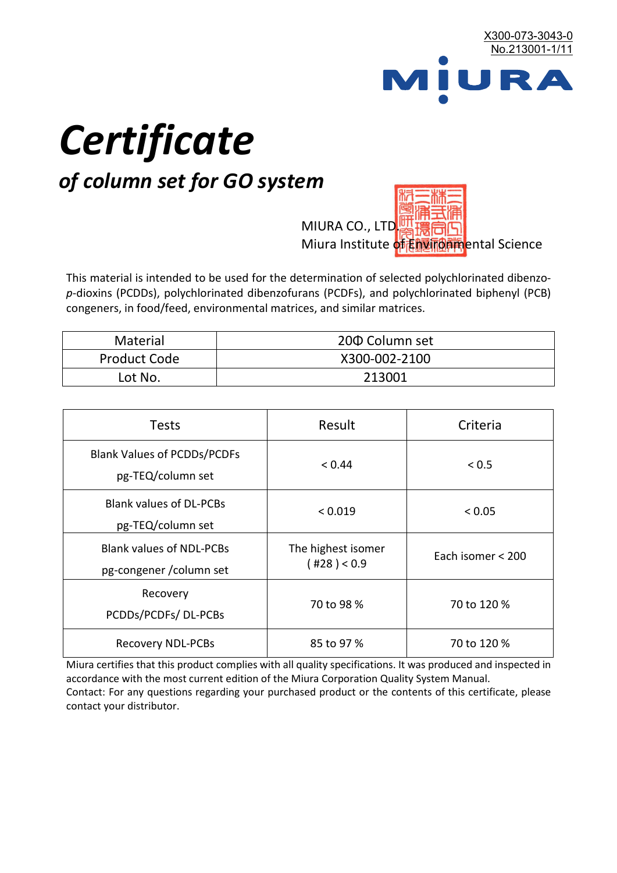

# *Certificate*

## *of column set for GO system*

MIURA CO., LTD. Miura Institute of 正版而解ental Science

This material is intended to be used for the determination of selected polychlorinated dibenzo*p*-dioxins (PCDDs), polychlorinated dibenzofurans (PCDFs), and polychlorinated biphenyl (PCB) congeners, in food/feed, environmental matrices, and similar matrices.

| <b>Material</b>     | 200 Column set |  |
|---------------------|----------------|--|
| <b>Product Code</b> | X300-002-2100  |  |
| Lot No.             | 213001         |  |

| <b>Tests</b>                                                | Result                            | Criteria          |
|-------------------------------------------------------------|-----------------------------------|-------------------|
| <b>Blank Values of PCDDs/PCDFs</b><br>pg-TEQ/column set     | < 0.44                            | < 0.5             |
| <b>Blank values of DL-PCBs</b><br>pg-TEQ/column set         | < 0.019                           | < 0.05            |
| <b>Blank values of NDL-PCBs</b><br>pg-congener / column set | The highest isomer<br>(428) < 0.9 | Each isomer < 200 |
| Recovery<br>PCDDs/PCDFs/DL-PCBs                             | 70 to 98 %                        | 70 to 120 %       |
| <b>Recovery NDL-PCBs</b>                                    | 85 to 97 %                        | 70 to 120 %       |

Miura certifies that this product complies with all quality specifications. It was produced and inspected in accordance with the most current edition of the Miura Corporation Quality System Manual. Contact: For any questions regarding your purchased product or the contents of this certificate, please contact your distributor.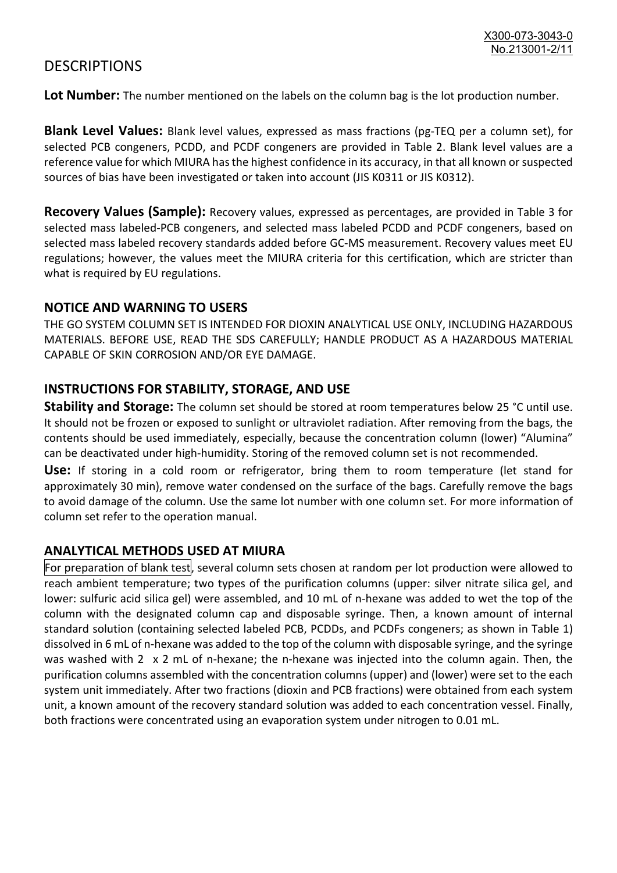### **DESCRIPTIONS**

**Lot Number:** The number mentioned on the labels on the column bag is the lot production number.

**Blank Level Values:** Blank level values, expressed as mass fractions (pg-TEQ per a column set), for selected PCB congeners, PCDD, and PCDF congeners are provided in Table 2. Blank level values are a reference value for which MIURA has the highest confidence in its accuracy, in that all known or suspected sources of bias have been investigated or taken into account (JIS K0311 or JIS K0312).

**Recovery Values (Sample):** Recovery values, expressed as percentages, are provided in Table 3 for selected mass labeled-PCB congeners, and selected mass labeled PCDD and PCDF congeners, based on selected mass labeled recovery standards added before GC-MS measurement. Recovery values meet EU regulations; however, the values meet the MIURA criteria for this certification, which are stricter than what is required by EU regulations.

#### **NOTICE AND WARNING TO USERS**

THE GO SYSTEM COLUMN SET IS INTENDED FOR DIOXIN ANALYTICAL USE ONLY, INCLUDING HAZARDOUS MATERIALS. BEFORE USE, READ THE SDS CAREFULLY; HANDLE PRODUCT AS A HAZARDOUS MATERIAL CAPABLE OF SKIN CORROSION AND/OR EYE DAMAGE.

#### **INSTRUCTIONS FOR STABILITY, STORAGE, AND USE**

**Stability and Storage:** The column set should be stored at room temperatures below 25 °C until use. It should not be frozen or exposed to sunlight or ultraviolet radiation. After removing from the bags, the contents should be used immediately, especially, because the concentration column (lower) "Alumina" can be deactivated under high-humidity. Storing of the removed column set is not recommended.

**Use:** If storing in a cold room or refrigerator, bring them to room temperature (let stand for approximately 30 min), remove water condensed on the surface of the bags. Carefully remove the bags to avoid damage of the column. Use the same lot number with one column set. For more information of column set refer to the operation manual.

#### **ANALYTICAL METHODS USED AT MIURA**

For preparation of blank test, several column sets chosen at random per lot production were allowed to reach ambient temperature; two types of the purification columns (upper: silver nitrate silica gel, and lower: sulfuric acid silica gel) were assembled, and 10 mL of n-hexane was added to wet the top of the column with the designated column cap and disposable syringe. Then, a known amount of internal standard solution (containing selected labeled PCB, PCDDs, and PCDFs congeners; as shown in Table 1) dissolved in 6 mL of n-hexane was added to the top of the column with disposable syringe, and the syringe was washed with 2 x 2 mL of n-hexane; the n-hexane was injected into the column again. Then, the purification columns assembled with the concentration columns (upper) and (lower) were set to the each system unit immediately. After two fractions (dioxin and PCB fractions) were obtained from each system unit, a known amount of the recovery standard solution was added to each concentration vessel. Finally, both fractions were concentrated using an evaporation system under nitrogen to 0.01 mL.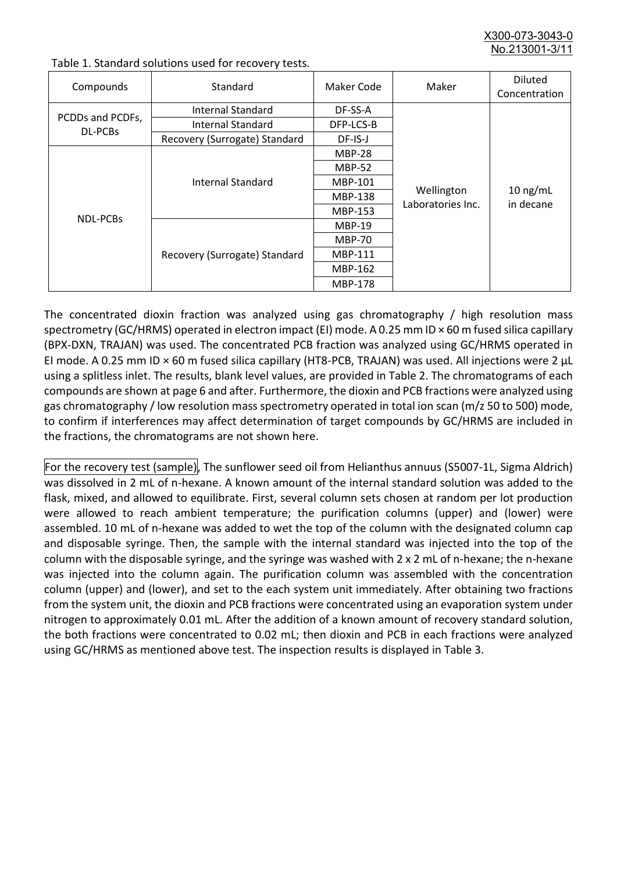X300-073-3043-0 No.213001-3/

| Compounds                          | Standard                      | Maker Code     | Maker                           | <b>Diluted</b><br>Concentration |
|------------------------------------|-------------------------------|----------------|---------------------------------|---------------------------------|
| PCDDs and PCDFs,<br><b>DL-PCBs</b> | Internal Standard             | DF-SS-A        |                                 |                                 |
|                                    | <b>Internal Standard</b>      | DFP-LCS-B      |                                 |                                 |
|                                    | Recovery (Surrogate) Standard | DF-IS-J        | Wellington<br>Laboratories Inc. | $10$ ng/mL<br>in decane         |
| <b>NDL-PCBs</b>                    | Internal Standard             | <b>MBP-28</b>  |                                 |                                 |
|                                    |                               | <b>MBP-52</b>  |                                 |                                 |
|                                    |                               | MBP-101        |                                 |                                 |
|                                    |                               | <b>MBP-138</b> |                                 |                                 |
|                                    |                               | MBP-153        |                                 |                                 |
|                                    | Recovery (Surrogate) Standard | <b>MBP-19</b>  |                                 |                                 |
|                                    |                               | <b>MBP-70</b>  |                                 |                                 |
|                                    |                               | <b>MBP-111</b> |                                 |                                 |
|                                    |                               | MBP-162        |                                 |                                 |
|                                    |                               | <b>MBP-178</b> |                                 |                                 |

Table 1. Standard solutions used for recovery tests.

The concentrated dioxin fraction was analyzed using gas chromatography / high resolution mass spectrometry (GC/HRMS) operated in electron impact (EI) mode. A 0.25 mm ID × 60 m fused silica capillary (BPX-DXN, TRAJAN) was used. The concentrated PCB fraction was analyzed using GC/HRMS operated in EI mode. A 0.25 mm ID × 60 m fused silica capillary (HT8-PCB, TRAJAN) was used. All injections were 2 μL using a splitless inlet. The results, blank level values, are provided in Table 2. The chromatograms of each compounds are shown at page 6 and after. Furthermore, the dioxin and PCB fractions were analyzed using gas chromatography / low resolution mass spectrometry operated in total ion scan (m/z 50 to 500) mode, to confirm if interferences may affect determination of target compounds by GC/HRMS are included in the fractions, the chromatograms are not shown here.

For the recovery test (sample), The sunflower seed oil from Helianthus annuus (S5007-1L, Sigma Aldrich) was dissolved in 2 mL of n-hexane. A known amount of the internal standard solution was added to the flask, mixed, and allowed to equilibrate. First, several column sets chosen at random per lot production were allowed to reach ambient temperature; the purification columns (upper) and (lower) were assembled. 10 mL of n-hexane was added to wet the top of the column with the designated column cap and disposable syringe. Then, the sample with the internal standard was injected into the top of the column with the disposable syringe, and the syringe was washed with 2 x 2 mL of n-hexane; the n-hexane was injected into the column again. The purification column was assembled with the concentration column (upper) and (lower), and set to the each system unit immediately. After obtaining two fractions from the system unit, the dioxin and PCB fractions were concentrated using an evaporation system under nitrogen to approximately 0.01 mL. After the addition of a known amount of recovery standard solution, the both fractions were concentrated to 0.02 mL; then dioxin and PCB in each fractions were analyzed using GC/HRMS as mentioned above test. The inspection results is displayed in Table 3.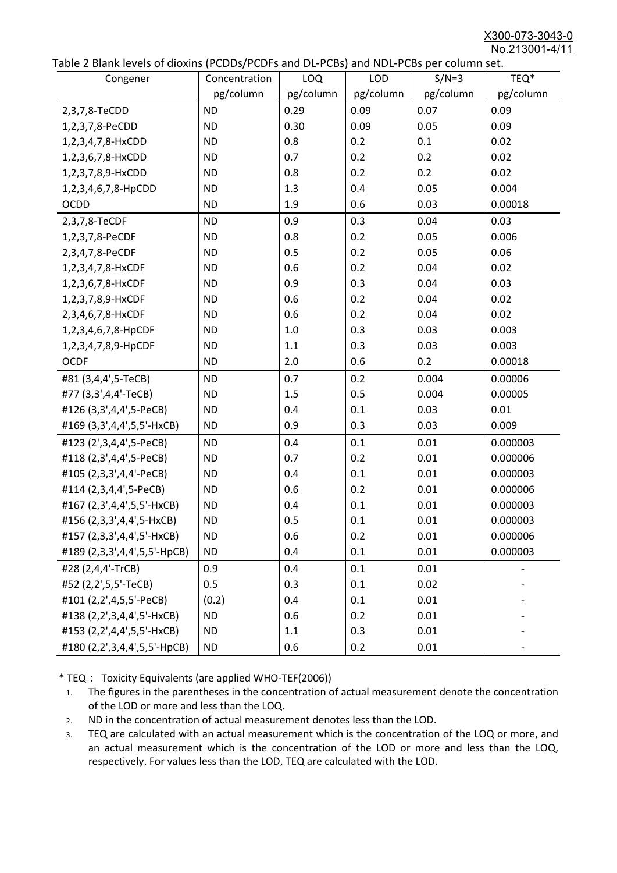X300-073-3043-0 No.213001-4/11

|  | Table 2 Blank levels of dioxins (PCDDs/PCDFs and DL-PCBs) and NDL-PCBs per column set. |
|--|----------------------------------------------------------------------------------------|
|--|----------------------------------------------------------------------------------------|

| able 2 Diarik levels of dioxins (I CDDs) I CDTs and DET CDs) and NDET CDs per column sett.<br>Congener | Concentration | LOQ       | <b>LOD</b> | $S/N=3$   | TEQ*      |
|--------------------------------------------------------------------------------------------------------|---------------|-----------|------------|-----------|-----------|
|                                                                                                        | pg/column     | pg/column | pg/column  | pg/column | pg/column |
| 2,3,7,8-TeCDD                                                                                          | <b>ND</b>     | 0.29      | 0.09       | 0.07      | 0.09      |
| 1,2,3,7,8-PeCDD                                                                                        | <b>ND</b>     | 0.30      | 0.09       | 0.05      | 0.09      |
| 1,2,3,4,7,8-HxCDD                                                                                      | <b>ND</b>     | 0.8       | 0.2        | 0.1       | 0.02      |
| 1,2,3,6,7,8-HxCDD                                                                                      | <b>ND</b>     | 0.7       | 0.2        | 0.2       | 0.02      |
| 1,2,3,7,8,9-HxCDD                                                                                      | <b>ND</b>     | 0.8       | 0.2        | 0.2       | 0.02      |
| 1,2,3,4,6,7,8-HpCDD                                                                                    | <b>ND</b>     | 1.3       | 0.4        | 0.05      | 0.004     |
| <b>OCDD</b>                                                                                            | <b>ND</b>     | 1.9       | 0.6        | 0.03      | 0.00018   |
| 2,3,7,8-TeCDF                                                                                          | <b>ND</b>     | 0.9       | 0.3        | 0.04      | 0.03      |
| 1,2,3,7,8-PeCDF                                                                                        | <b>ND</b>     | 0.8       | 0.2        | 0.05      | 0.006     |
| 2,3,4,7,8-PeCDF                                                                                        | <b>ND</b>     | 0.5       | 0.2        | 0.05      | 0.06      |
| 1,2,3,4,7,8-HxCDF                                                                                      | <b>ND</b>     | 0.6       | 0.2        | 0.04      | 0.02      |
| 1,2,3,6,7,8-HxCDF                                                                                      | <b>ND</b>     | 0.9       | 0.3        | 0.04      | 0.03      |
| 1,2,3,7,8,9-HxCDF                                                                                      | <b>ND</b>     | 0.6       | 0.2        | 0.04      | 0.02      |
| 2,3,4,6,7,8-HxCDF                                                                                      | <b>ND</b>     | 0.6       | 0.2        | 0.04      | 0.02      |
| 1,2,3,4,6,7,8-HpCDF                                                                                    | <b>ND</b>     | 1.0       | 0.3        | 0.03      | 0.003     |
| 1,2,3,4,7,8,9-HpCDF                                                                                    | <b>ND</b>     | 1.1       | 0.3        | 0.03      | 0.003     |
| <b>OCDF</b>                                                                                            | <b>ND</b>     | 2.0       | 0.6        | 0.2       | 0.00018   |
| #81 (3,4,4',5-TeCB)                                                                                    | <b>ND</b>     | 0.7       | 0.2        | 0.004     | 0.00006   |
| #77 (3,3',4,4'-TeCB)                                                                                   | <b>ND</b>     | 1.5       | 0.5        | 0.004     | 0.00005   |
| #126 (3,3',4,4',5-PeCB)                                                                                | <b>ND</b>     | 0.4       | 0.1        | 0.03      | 0.01      |
| #169 (3,3',4,4',5,5'-HxCB)                                                                             | <b>ND</b>     | 0.9       | 0.3        | 0.03      | 0.009     |
| #123 (2',3,4,4',5-PeCB)                                                                                | <b>ND</b>     | 0.4       | 0.1        | 0.01      | 0.000003  |
| #118 (2,3',4,4',5-PeCB)                                                                                | <b>ND</b>     | 0.7       | 0.2        | 0.01      | 0.000006  |
| #105 (2,3,3',4,4'-PeCB)                                                                                | <b>ND</b>     | 0.4       | 0.1        | 0.01      | 0.000003  |
| #114 (2,3,4,4',5-PeCB)                                                                                 | <b>ND</b>     | 0.6       | 0.2        | 0.01      | 0.000006  |
| #167 (2,3',4,4',5,5'-HxCB)                                                                             | <b>ND</b>     | 0.4       | 0.1        | 0.01      | 0.000003  |
| #156 (2,3,3',4,4',5-HxCB)                                                                              | <b>ND</b>     | 0.5       | 0.1        | 0.01      | 0.000003  |
| #157 (2,3,3',4,4',5'-HxCB)                                                                             | <b>ND</b>     | 0.6       | 0.2        | 0.01      | 0.000006  |
| #189 (2,3,3',4,4',5,5'-HpCB)                                                                           | <b>ND</b>     | 0.4       | 0.1        | 0.01      | 0.000003  |
| #28 (2,4,4'-TrCB)                                                                                      | 0.9           | 0.4       | 0.1        | 0.01      |           |
| #52 (2,2',5,5'-TeCB)                                                                                   | 0.5           | 0.3       | 0.1        | 0.02      |           |
| #101 (2,2',4,5,5'-PeCB)                                                                                | (0.2)         | 0.4       | 0.1        | 0.01      |           |
| #138 (2,2',3,4,4',5'-HxCB)                                                                             | <b>ND</b>     | 0.6       | 0.2        | 0.01      |           |
| #153 (2,2',4,4',5,5'-HxCB)                                                                             | <b>ND</b>     | 1.1       | 0.3        | 0.01      |           |
| #180 (2,2',3,4,4',5,5'-HpCB)                                                                           | <b>ND</b>     | 0.6       | 0.2        | 0.01      |           |

\* TEQ: Toxicity Equivalents (are applied WHO-TEF(2006))

- 1. The figures in the parentheses in the concentration of actual measurement denote the concentration of the LOD or more and less than the LOQ.
- 2. ND in the concentration of actual measurement denotes less than the LOD.
- 3. TEQ are calculated with an actual measurement which is the concentration of the LOQ or more, and an actual measurement which is the concentration of the LOD or more and less than the LOQ, respectively. For values less than the LOD, TEQ are calculated with the LOD.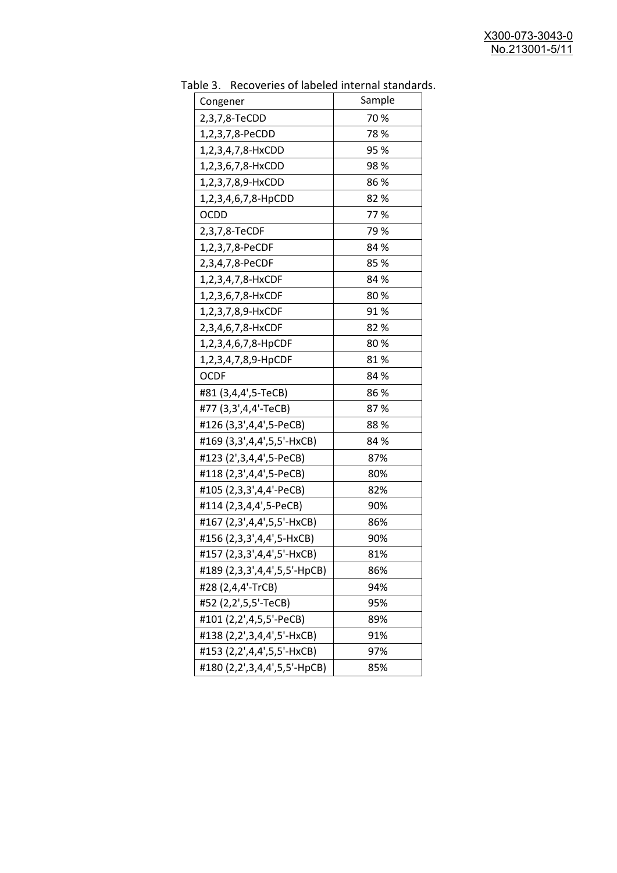| uwic J.<br><b>INCLUSION INTO THE MANUSCRY INTO THE STATISTICS</b><br>Congener | Sample |
|-------------------------------------------------------------------------------|--------|
| 2,3,7,8-TeCDD                                                                 | 70%    |
| 1,2,3,7,8-PeCDD                                                               | 78 %   |
| 1,2,3,4,7,8-HxCDD                                                             | 95%    |
|                                                                               | 98%    |
| 1,2,3,6,7,8-HxCDD                                                             | 86 %   |
| 1,2,3,7,8,9-HxCDD                                                             |        |
| 1,2,3,4,6,7,8-HpCDD                                                           | 82%    |
| OCDD                                                                          | 77%    |
| 2,3,7,8-TeCDF                                                                 | 79 %   |
| 1,2,3,7,8-PeCDF                                                               | 84 %   |
| 2,3,4,7,8-PeCDF                                                               | 85%    |
| 1,2,3,4,7,8-HxCDF                                                             | 84 %   |
| 1,2,3,6,7,8-HxCDF                                                             | 80%    |
| 1,2,3,7,8,9-HxCDF                                                             | 91%    |
| 2,3,4,6,7,8-HxCDF                                                             | 82%    |
| 1,2,3,4,6,7,8-HpCDF                                                           | 80%    |
| 1,2,3,4,7,8,9-HpCDF                                                           | 81%    |
| <b>OCDF</b>                                                                   | 84 %   |
| #81 (3,4,4',5-TeCB)                                                           | 86%    |
| #77 (3,3',4,4'-TeCB)                                                          | 87%    |
| #126 (3,3',4,4',5-PeCB)                                                       | 88%    |
| #169 (3,3',4,4',5,5'-HxCB)                                                    | 84 %   |
| #123 (2',3,4,4',5-PeCB)                                                       | 87%    |
| #118 (2,3',4,4',5-PeCB)                                                       | 80%    |
| #105 (2,3,3',4,4'-PeCB)                                                       | 82%    |
| #114 (2,3,4,4',5-PeCB)                                                        | 90%    |
| #167 (2,3',4,4',5,5'-HxCB)                                                    | 86%    |
| #156 (2,3,3',4,4',5-HxCB)                                                     | 90%    |
| #157 (2,3,3',4,4',5'-HxCB)                                                    | 81%    |
| #189 (2,3,3',4,4',5,5'-HpCB)                                                  | 86%    |
| #28 (2,4,4'-TrCB)                                                             | 94%    |
| #52 (2,2',5,5'-TeCB)                                                          | 95%    |
| #101 (2,2',4,5,5'-PeCB)                                                       | 89%    |
| #138 (2,2',3,4,4',5'-HxCB)                                                    | 91%    |
| #153 (2,2',4,4',5,5'-HxCB)                                                    | 97%    |
| #180 (2,2',3,4,4',5,5'-HpCB)                                                  | 85%    |
|                                                                               |        |

Table 3. Recoveries of labeled internal standards.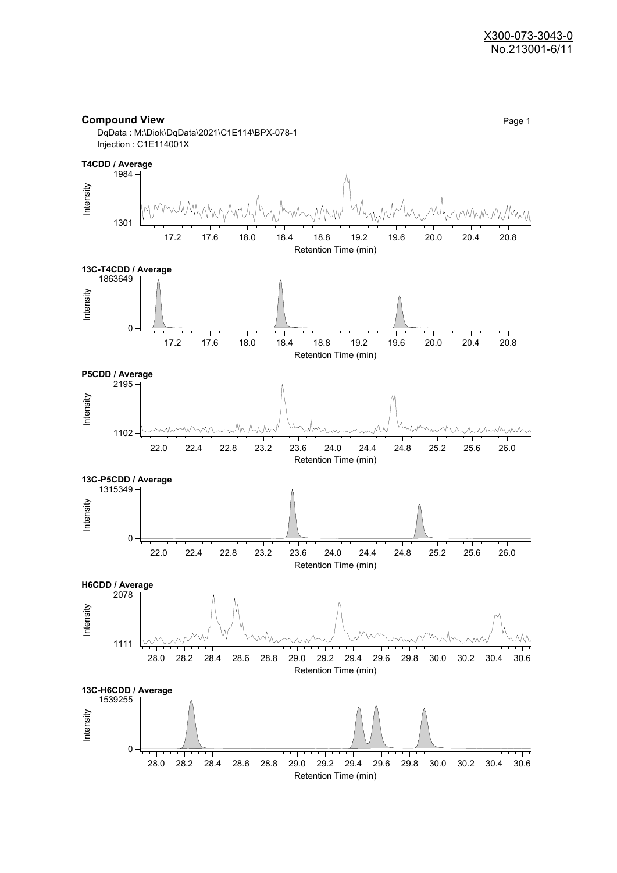

**Compound View** Page 1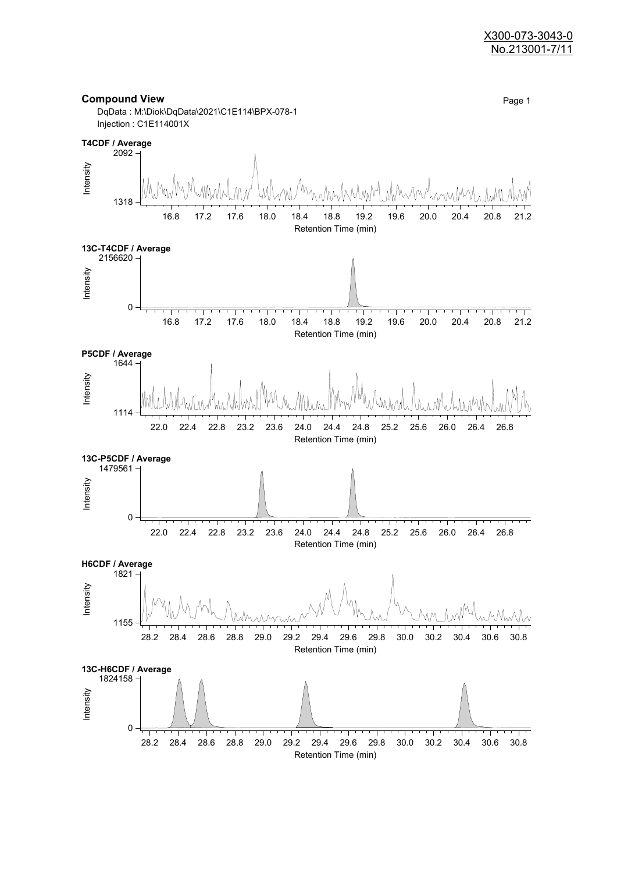#### X300-073-3043-0 No.213001-7/11

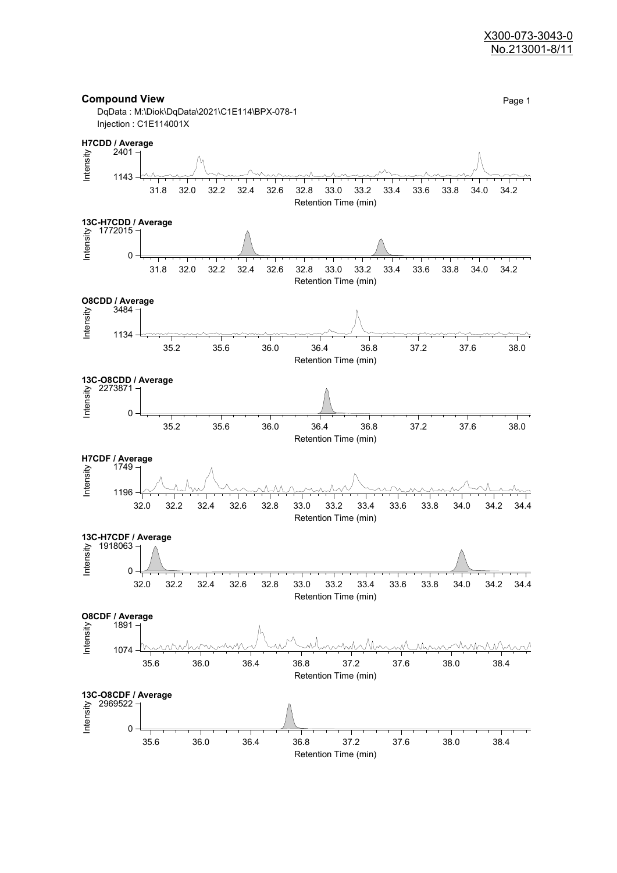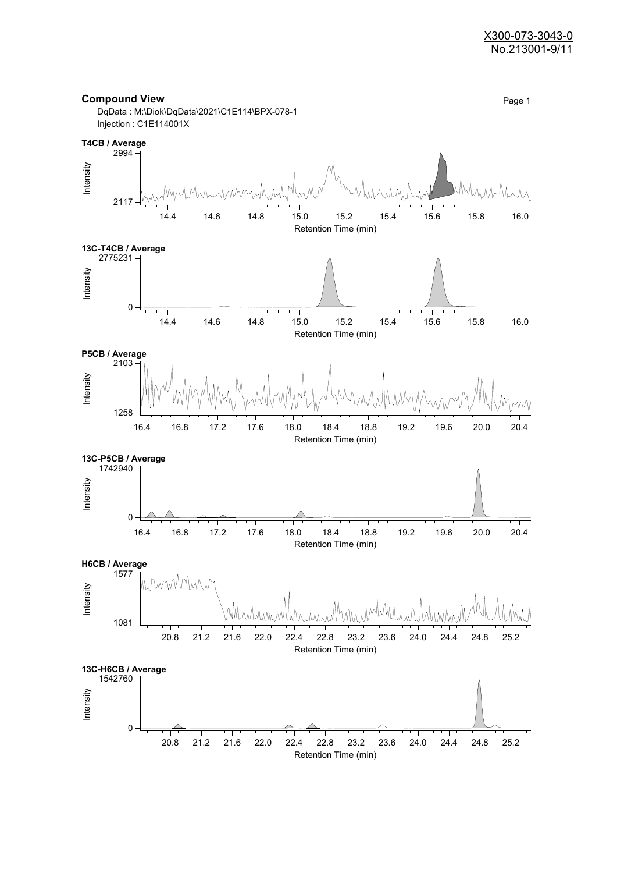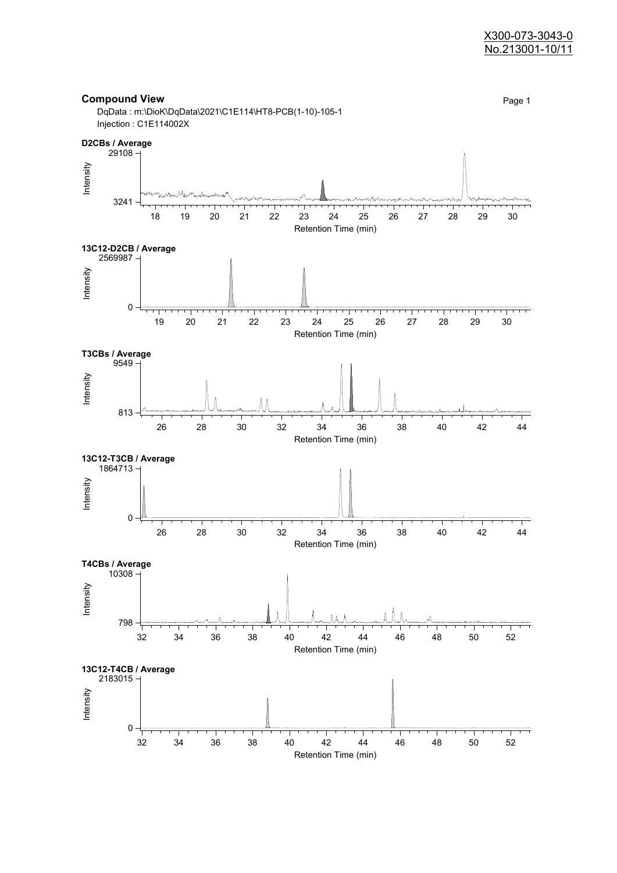